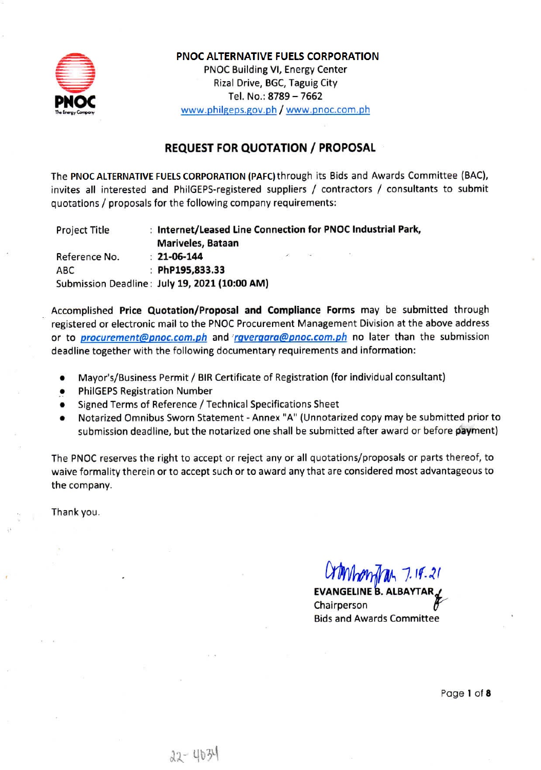

# **PNOC ALTERNATIVE FUELS CORPORATION** PNOC Building VI, Energy Center Rizal Drive, BGC, Taguig City Tel. No.: 8789 - 7662 www.philgeps.gov.ph / www.pnoc.com.ph

# **REQUEST FOR QUOTATION / PROPOSAL**

The PNOC ALTERNATIVE FUELS CORPORATION (PAFC) through its Bids and Awards Committee (BAC), invites all interested and PhilGEPS-registered suppliers / contractors / consultants to submit quotations / proposals for the following company requirements:

: Internet/Leased Line Connection for PNOC Industrial Park, **Project Title** Mariveles, Bataan  $: 21 - 06 - 144$ Reference No. : PhP195,833.33 **ABC** Submission Deadline: July 19, 2021 (10:00 AM)

Accomplished Price Quotation/Proposal and Compliance Forms may be submitted through registered or electronic mail to the PNOC Procurement Management Division at the above address or to *procurement@pnoc.com.ph* and *rgvergara@pnoc.com.ph* no later than the submission deadline together with the following documentary requirements and information:

- Mayor's/Business Permit / BIR Certificate of Registration (for individual consultant)
- **PhilGEPS Registration Number**
- Signed Terms of Reference / Technical Specifications Sheet
- Notarized Omnibus Sworn Statement Annex "A" (Unnotarized copy may be submitted prior to submission deadline, but the notarized one shall be submitted after award or before payment)

The PNOC reserves the right to accept or reject any or all quotations/proposals or parts thereof, to waive formality therein or to accept such or to award any that are considered most advantageous to the company.

Thank you.

COMPARAGAL 7.18.21

**EVANGELINE B. ALBAYTAR** Chairperson **Bids and Awards Committee** 

Page 1 of 8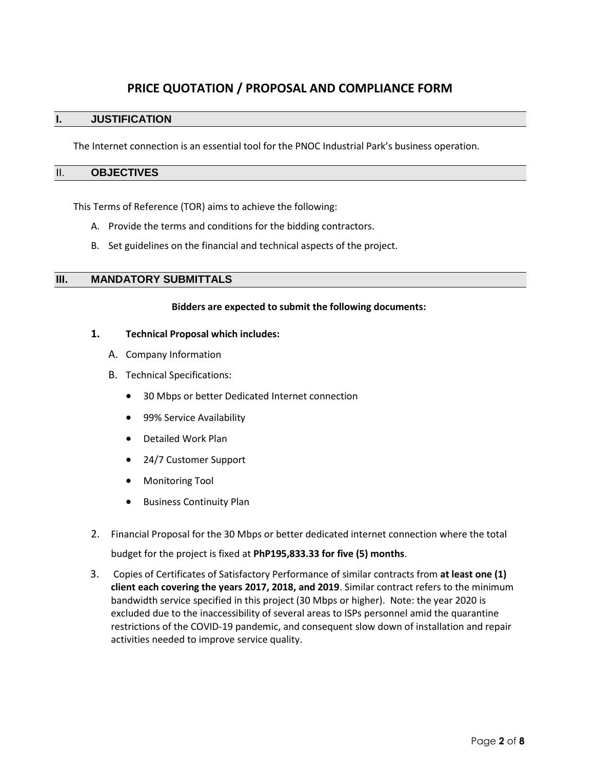# **PRICE QUOTATION / PROPOSAL AND COMPLIANCE FORM**

### **I. JUSTIFICATION**

The Internet connection is an essential tool for the PNOC Industrial Park's business operation.

#### II. **OBJECTIVES**

This Terms of Reference (TOR) aims to achieve the following:

- A. Provide the terms and conditions for the bidding contractors.
- B. Set guidelines on the financial and technical aspects of the project.

#### **III. MANDATORY SUBMITTALS**

#### **Bidders are expected to submit the following documents:**

#### **1. Technical Proposal which includes:**

- A. Company Information
- B. Technical Specifications:
	- 30 Mbps or better Dedicated Internet connection
	- 99% Service Availability
	- Detailed Work Plan
	- 24/7 Customer Support
	- Monitoring Tool
	- Business Continuity Plan
- 2. Financial Proposal for the 30 Mbps or better dedicated internet connection where the total budget for the project is fixed at **PhP195,833.33 for five (5) months**.
- 3. Copies of Certificates of Satisfactory Performance of similar contracts from **at least one (1) client each covering the years 2017, 2018, and 2019**. Similar contract refers to the minimum bandwidth service specified in this project (30 Mbps or higher). Note: the year 2020 is excluded due to the inaccessibility of several areas to ISPs personnel amid the quarantine restrictions of the COVID-19 pandemic, and consequent slow down of installation and repair activities needed to improve service quality.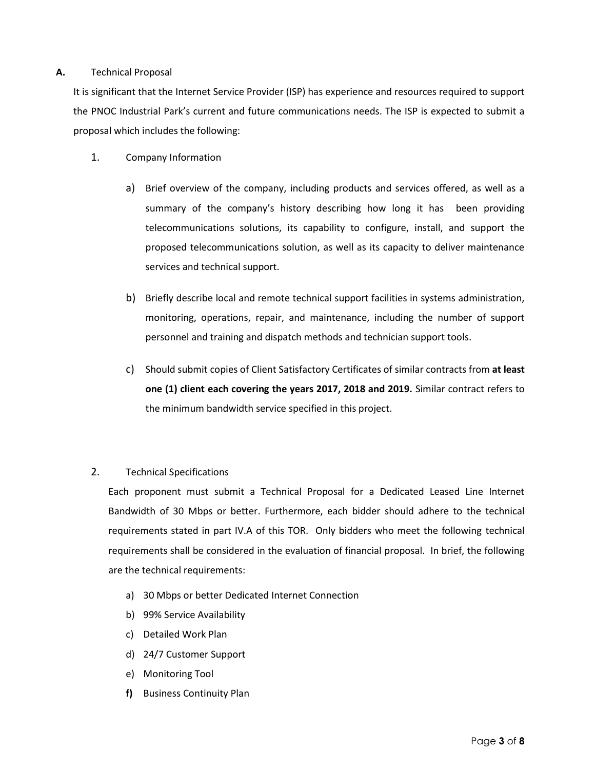#### **A.** Technical Proposal

It is significant that the Internet Service Provider (ISP) has experience and resources required to support the PNOC Industrial Park's current and future communications needs. The ISP is expected to submit a proposal which includes the following:

- 1. Company Information
	- a) Brief overview of the company, including products and services offered, as well as a summary of the company's history describing how long it has been providing telecommunications solutions, its capability to configure, install, and support the proposed telecommunications solution, as well as its capacity to deliver maintenance services and technical support.
	- b) Briefly describe local and remote technical support facilities in systems administration, monitoring, operations, repair, and maintenance, including the number of support personnel and training and dispatch methods and technician support tools.
	- c) Should submit copies of Client Satisfactory Certificates of similar contracts from **at least one (1) client each covering the years 2017, 2018 and 2019.** Similar contract refers to the minimum bandwidth service specified in this project.

#### 2. Technical Specifications

Each proponent must submit a Technical Proposal for a Dedicated Leased Line Internet Bandwidth of 30 Mbps or better. Furthermore, each bidder should adhere to the technical requirements stated in part IV.A of this TOR. Only bidders who meet the following technical requirements shall be considered in the evaluation of financial proposal. In brief, the following are the technical requirements:

- a) 30 Mbps or better Dedicated Internet Connection
- b) 99% Service Availability
- c) Detailed Work Plan
- d) 24/7 Customer Support
- e) Monitoring Tool
- **f)** Business Continuity Plan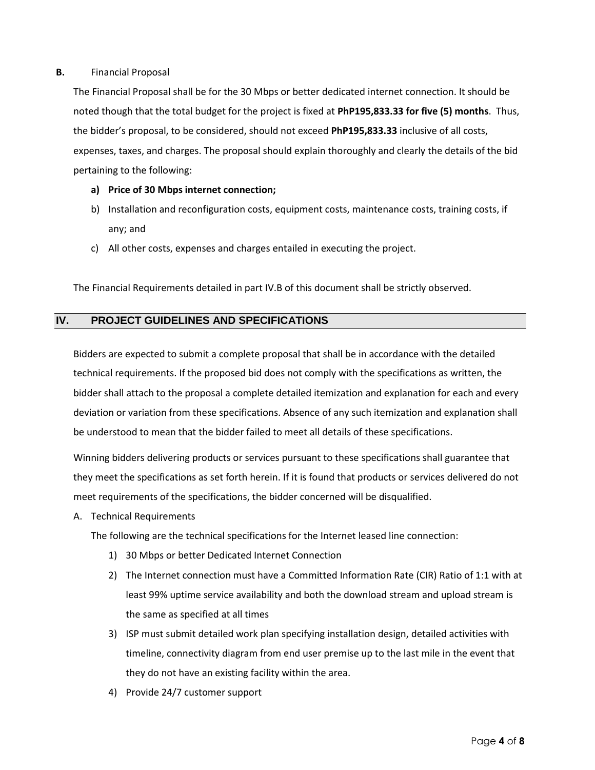#### **B.** Financial Proposal

The Financial Proposal shall be for the 30 Mbps or better dedicated internet connection. It should be noted though that the total budget for the project is fixed at **PhP195,833.33 for five (5) months**. Thus, the bidder's proposal, to be considered, should not exceed **PhP195,833.33** inclusive of all costs, expenses, taxes, and charges. The proposal should explain thoroughly and clearly the details of the bid pertaining to the following:

- **a) Price of 30 Mbps internet connection;**
- b) Installation and reconfiguration costs, equipment costs, maintenance costs, training costs, if any; and
- c) All other costs, expenses and charges entailed in executing the project.

The Financial Requirements detailed in part IV.B of this document shall be strictly observed.

#### **IV. PROJECT GUIDELINES AND SPECIFICATIONS**

Bidders are expected to submit a complete proposal that shall be in accordance with the detailed technical requirements. If the proposed bid does not comply with the specifications as written, the bidder shall attach to the proposal a complete detailed itemization and explanation for each and every deviation or variation from these specifications. Absence of any such itemization and explanation shall be understood to mean that the bidder failed to meet all details of these specifications.

Winning bidders delivering products or services pursuant to these specifications shall guarantee that they meet the specifications as set forth herein. If it is found that products or services delivered do not meet requirements of the specifications, the bidder concerned will be disqualified.

A. Technical Requirements

The following are the technical specifications for the Internet leased line connection:

- 1) 30 Mbps or better Dedicated Internet Connection
- 2) The Internet connection must have a Committed Information Rate (CIR) Ratio of 1:1 with at least 99% uptime service availability and both the download stream and upload stream is the same as specified at all times
- 3) ISP must submit detailed work plan specifying installation design, detailed activities with timeline, connectivity diagram from end user premise up to the last mile in the event that they do not have an existing facility within the area.
- 4) Provide 24/7 customer support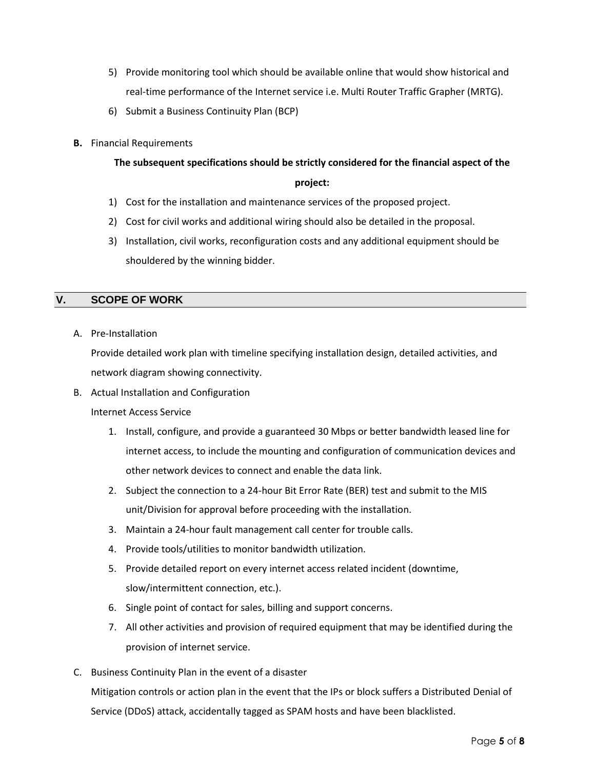- 5) Provide monitoring tool which should be available online that would show historical and real-time performance of the Internet service i.e. Multi Router Traffic Grapher (MRTG).
- 6) Submit a Business Continuity Plan (BCP)
- **B.** Financial Requirements

# **The subsequent specifications should be strictly considered for the financial aspect of the**

#### **project:**

- 1) Cost for the installation and maintenance services of the proposed project.
- 2) Cost for civil works and additional wiring should also be detailed in the proposal.
- 3) Installation, civil works, reconfiguration costs and any additional equipment should be shouldered by the winning bidder.

# **V. SCOPE OF WORK**

A. Pre-Installation

Provide detailed work plan with timeline specifying installation design, detailed activities, and network diagram showing connectivity.

B. Actual Installation and Configuration

#### Internet Access Service

- 1. Install, configure, and provide a guaranteed 30 Mbps or better bandwidth leased line for internet access, to include the mounting and configuration of communication devices and other network devices to connect and enable the data link.
- 2. Subject the connection to a 24-hour Bit Error Rate (BER) test and submit to the MIS unit/Division for approval before proceeding with the installation.
- 3. Maintain a 24-hour fault management call center for trouble calls.
- 4. Provide tools/utilities to monitor bandwidth utilization.
- 5. Provide detailed report on every internet access related incident (downtime, slow/intermittent connection, etc.).
- 6. Single point of contact for sales, billing and support concerns.
- 7. All other activities and provision of required equipment that may be identified during the provision of internet service.
- C. Business Continuity Plan in the event of a disaster

Mitigation controls or action plan in the event that the IPs or block suffers a Distributed Denial of Service (DDoS) attack, accidentally tagged as SPAM hosts and have been blacklisted.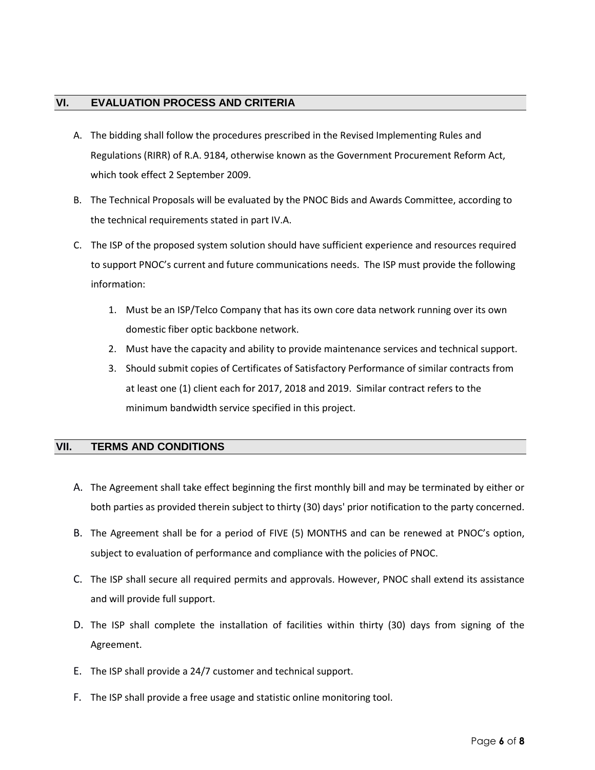#### **VI. EVALUATION PROCESS AND CRITERIA**

- A. The bidding shall follow the procedures prescribed in the Revised Implementing Rules and Regulations (RIRR) of R.A. 9184, otherwise known as the Government Procurement Reform Act, which took effect 2 September 2009.
- B. The Technical Proposals will be evaluated by the PNOC Bids and Awards Committee, according to the technical requirements stated in part IV.A.
- C. The ISP of the proposed system solution should have sufficient experience and resources required to support PNOC's current and future communications needs. The ISP must provide the following information:
	- 1. Must be an ISP/Telco Company that has its own core data network running over its own domestic fiber optic backbone network.
	- 2. Must have the capacity and ability to provide maintenance services and technical support.
	- 3. Should submit copies of Certificates of Satisfactory Performance of similar contracts from at least one (1) client each for 2017, 2018 and 2019. Similar contract refers to the minimum bandwidth service specified in this project.

## **VII. TERMS AND CONDITIONS**

- A. The Agreement shall take effect beginning the first monthly bill and may be terminated by either or both parties as provided therein subject to thirty (30) days' prior notification to the party concerned.
- B. The Agreement shall be for a period of FIVE (5) MONTHS and can be renewed at PNOC's option, subject to evaluation of performance and compliance with the policies of PNOC.
- C. The ISP shall secure all required permits and approvals. However, PNOC shall extend its assistance and will provide full support.
- D. The ISP shall complete the installation of facilities within thirty (30) days from signing of the Agreement.
- E. The ISP shall provide a 24/7 customer and technical support.
- F. The ISP shall provide a free usage and statistic online monitoring tool.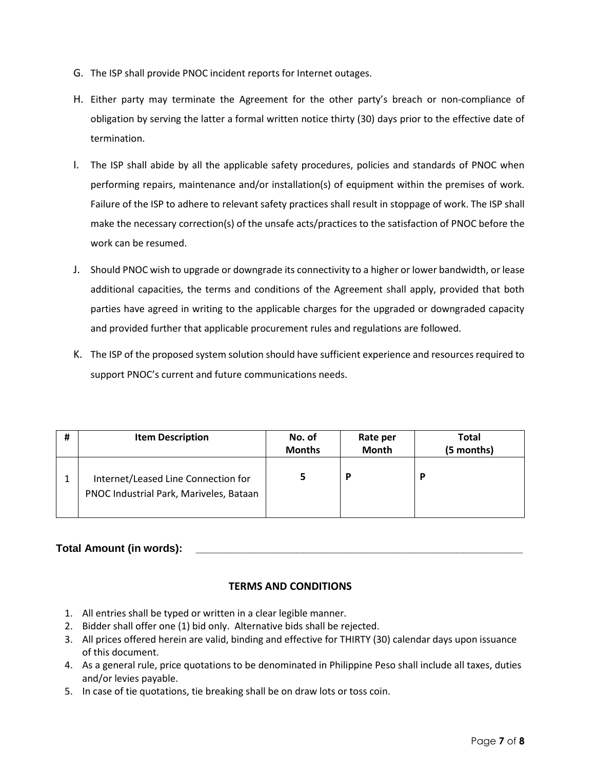- G. The ISP shall provide PNOC incident reports for Internet outages.
- H. Either party may terminate the Agreement for the other party's breach or non-compliance of obligation by serving the latter a formal written notice thirty (30) days prior to the effective date of termination.
- I. The ISP shall abide by all the applicable safety procedures, policies and standards of PNOC when performing repairs, maintenance and/or installation(s) of equipment within the premises of work. Failure of the ISP to adhere to relevant safety practices shall result in stoppage of work. The ISP shall make the necessary correction(s) of the unsafe acts/practices to the satisfaction of PNOC before the work can be resumed.
- J. Should PNOC wish to upgrade or downgrade its connectivity to a higher or lower bandwidth, or lease additional capacities, the terms and conditions of the Agreement shall apply, provided that both parties have agreed in writing to the applicable charges for the upgraded or downgraded capacity and provided further that applicable procurement rules and regulations are followed.
- K. The ISP of the proposed system solution should have sufficient experience and resources required to support PNOC's current and future communications needs.

| # | <b>Item Description</b>                                                        | No. of<br><b>Months</b> | Rate per<br><b>Month</b> | <b>Total</b><br>(5 months) |
|---|--------------------------------------------------------------------------------|-------------------------|--------------------------|----------------------------|
|   | Internet/Leased Line Connection for<br>PNOC Industrial Park, Mariveles, Bataan |                         | P                        | D                          |

## **Total Amount (in words): \_\_\_\_\_\_\_\_\_\_\_\_\_\_\_\_\_\_\_\_\_\_\_\_\_\_\_\_\_\_\_\_\_\_\_\_\_\_\_\_\_\_\_\_\_\_\_\_\_\_\_\_\_\_\_**

## **TERMS AND CONDITIONS**

- 1. All entries shall be typed or written in a clear legible manner.
- 2. Bidder shall offer one (1) bid only. Alternative bids shall be rejected.
- 3. All prices offered herein are valid, binding and effective for THIRTY (30) calendar days upon issuance of this document.
- 4. As a general rule, price quotations to be denominated in Philippine Peso shall include all taxes, duties and/or levies payable.
- 5. In case of tie quotations, tie breaking shall be on draw lots or toss coin.